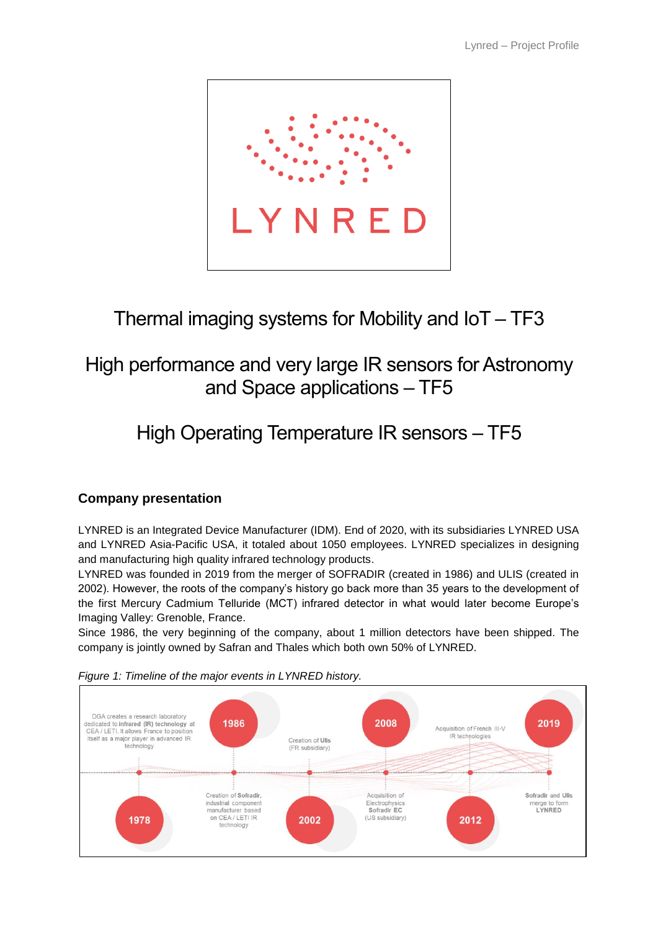

## Thermal imaging systems for Mobility and IoT – TF3

## High performance and very large IR sensors for Astronomy and Space applications – TF5

# High Operating Temperature IR sensors – TF5

## **Company presentation**

LYNRED is an Integrated Device Manufacturer (IDM). End of 2020, with its subsidiaries LYNRED USA and LYNRED Asia-Pacific USA, it totaled about 1050 employees. LYNRED specializes in designing and manufacturing high quality infrared technology products.

LYNRED was founded in 2019 from the merger of SOFRADIR (created in 1986) and ULIS (created in 2002). However, the roots of the company's history go back more than 35 years to the development of the first Mercury Cadmium Telluride (MCT) infrared detector in what would later become Europe's Imaging Valley: Grenoble, France.

Since 1986, the very beginning of the company, about 1 million detectors have been shipped. The company is jointly owned by Safran and Thales which both own 50% of LYNRED.



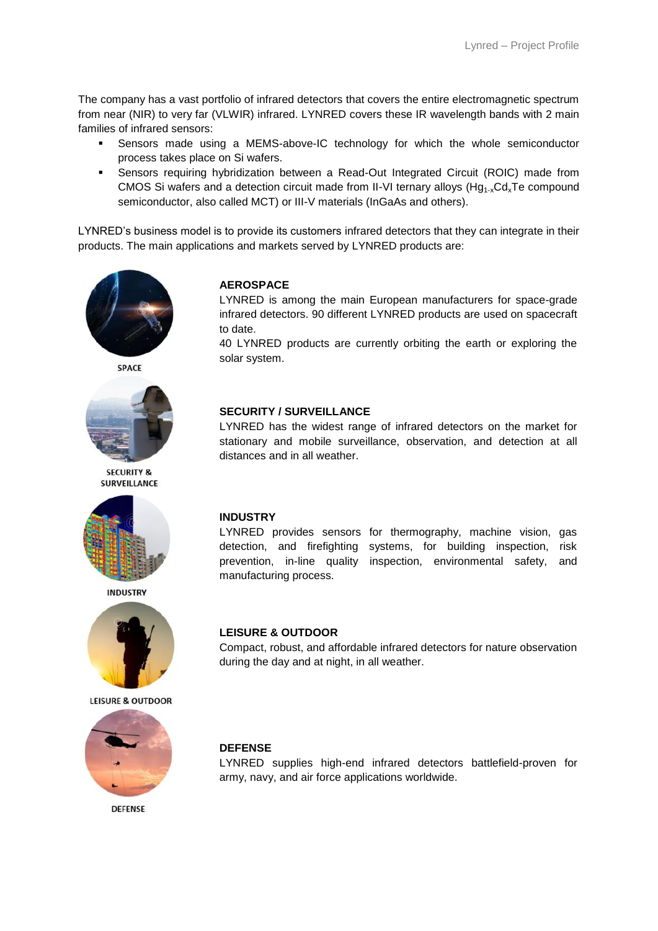The company has a vast portfolio of infrared detectors that covers the entire electromagnetic spectrum from near (NIR) to very far (VLWIR) infrared. LYNRED covers these IR wavelength bands with 2 main families of infrared sensors:

- Sensors made using a MEMS-above-IC technology for which the whole semiconductor process takes place on Si wafers.
- Sensors requiring hybridization between a Read-Out Integrated Circuit (ROIC) made from CMOS Si wafers and a detection circuit made from II-VI ternary alloys ( $Hg<sub>1-x</sub>Cd<sub>x</sub>Te$  compound semiconductor, also called MCT) or III-V materials (InGaAs and others).

LYNRED's business model is to provide its customers infrared detectors that they can integrate in their products. The main applications and markets served by LYNRED products are:



**SPACE** 



**SECURITY & SURVEILLANCE** 



**INDUSTRY** 



**LEISURE & OUTDOOR** 



**DEFENSE** 

#### **AEROSPACE**

LYNRED is among the main European manufacturers for space-grade infrared detectors. 90 different LYNRED products are used on spacecraft to date.

40 LYNRED products are currently orbiting the earth or exploring the solar system.

#### **SECURITY / SURVEILLANCE**

LYNRED has the widest range of infrared detectors on the market for stationary and mobile surveillance, observation, and detection at all distances and in all weather.

#### **INDUSTRY**

LYNRED provides sensors for thermography, machine vision, gas detection, and firefighting systems, for building inspection, risk prevention, in-line quality inspection, environmental safety, and manufacturing process.

#### **LEISURE & OUTDOOR**

Compact, robust, and affordable infrared detectors for nature observation during the day and at night, in all weather.

#### **DEFENSE**

LYNRED supplies high-end infrared detectors battlefield-proven for army, navy, and air force applications worldwide.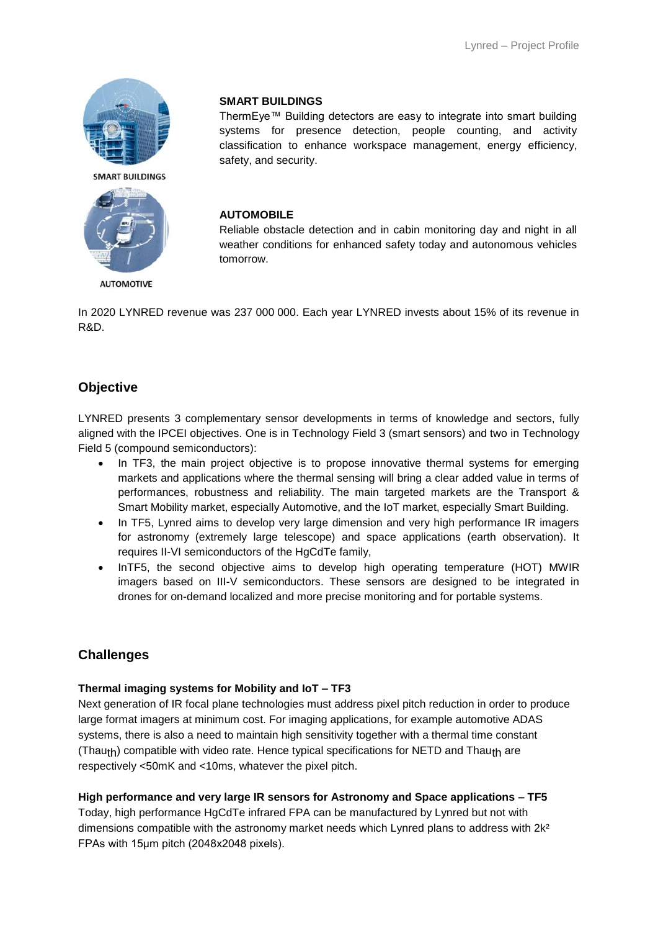



**AUTOMOTIVE** 

#### **SMART BUILDINGS**

ThermEye™ Building detectors are easy to integrate into smart building systems for presence detection, people counting, and activity classification to enhance workspace management, energy efficiency, safety, and security.

#### **AUTOMOBILE**

Reliable obstacle detection and in cabin monitoring day and night in all weather conditions for enhanced safety today and autonomous vehicles tomorrow.

In 2020 LYNRED revenue was 237 000 000. Each year LYNRED invests about 15% of its revenue in R&D.

## **Objective**

LYNRED presents 3 complementary sensor developments in terms of knowledge and sectors, fully aligned with the IPCEI objectives. One is in Technology Field 3 (smart sensors) and two in Technology Field 5 (compound semiconductors):

- In TF3, the main project objective is to propose innovative thermal systems for emerging markets and applications where the thermal sensing will bring a clear added value in terms of performances, robustness and reliability. The main targeted markets are the Transport & Smart Mobility market, especially Automotive, and the IoT market, especially Smart Building.
- In TF5, Lynred aims to develop very large dimension and very high performance IR imagers for astronomy (extremely large telescope) and space applications (earth observation). It requires II-VI semiconductors of the HgCdTe family,
- InTF5, the second objective aims to develop high operating temperature (HOT) MWIR imagers based on III-V semiconductors. These sensors are designed to be integrated in drones for on-demand localized and more precise monitoring and for portable systems.

## **Challenges**

#### **Thermal imaging systems for Mobility and IoT – TF3**

Next generation of IR focal plane technologies must address pixel pitch reduction in order to produce large format imagers at minimum cost. For imaging applications, for example automotive ADAS systems, there is also a need to maintain high sensitivity together with a thermal time constant (Thauth) compatible with video rate. Hence typical specifications for NETD and Thauth are respectively <50mK and <10ms, whatever the pixel pitch.

#### **High performance and very large IR sensors for Astronomy and Space applications – TF5**

Today, high performance HgCdTe infrared FPA can be manufactured by Lynred but not with dimensions compatible with the astronomy market needs which Lynred plans to address with 2k<sup>2</sup> FPAs with 15μm pitch (2048x2048 pixels).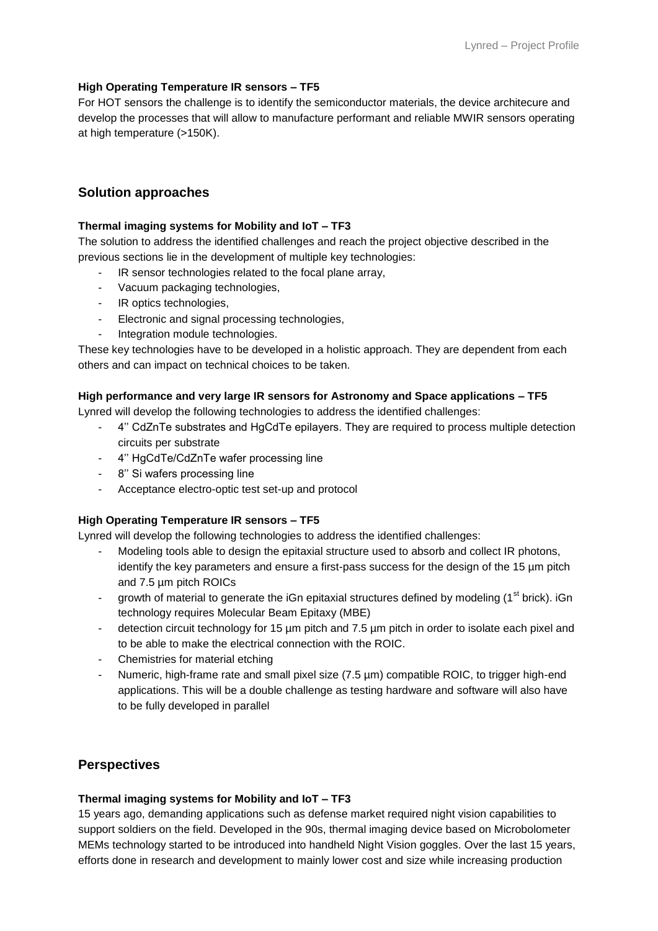#### **High Operating Temperature IR sensors – TF5**

For HOT sensors the challenge is to identify the semiconductor materials, the device architecure and develop the processes that will allow to manufacture performant and reliable MWIR sensors operating at high temperature (>150K).

### **Solution approaches**

#### **Thermal imaging systems for Mobility and IoT – TF3**

The solution to address the identified challenges and reach the project objective described in the previous sections lie in the development of multiple key technologies:

- IR sensor technologies related to the focal plane array,
- Vacuum packaging technologies,
- IR optics technologies,
- Electronic and signal processing technologies,
- Integration module technologies.

These key technologies have to be developed in a holistic approach. They are dependent from each others and can impact on technical choices to be taken.

#### **High performance and very large IR sensors for Astronomy and Space applications – TF5**

Lynred will develop the following technologies to address the identified challenges:

- 4'' CdZnTe substrates and HgCdTe epilayers. They are required to process multiple detection circuits per substrate
- 4'' HgCdTe/CdZnTe wafer processing line
- 8'' Si wafers processing line
- Acceptance electro-optic test set-up and protocol

#### **High Operating Temperature IR sensors – TF5**

Lynred will develop the following technologies to address the identified challenges:

- Modeling tools able to design the epitaxial structure used to absorb and collect IR photons, identify the key parameters and ensure a first-pass success for the design of the 15 µm pitch and 7.5 µm pitch ROICs
- growth of material to generate the iGn epitaxial structures defined by modeling  $(1^{st}$  brick). iGn technology requires Molecular Beam Epitaxy (MBE)
- detection circuit technology for 15 µm pitch and 7.5 µm pitch in order to isolate each pixel and to be able to make the electrical connection with the ROIC.
- Chemistries for material etching
- Numeric, high-frame rate and small pixel size (7.5 µm) compatible ROIC, to trigger high-end applications. This will be a double challenge as testing hardware and software will also have to be fully developed in parallel

## **Perspectives**

#### **Thermal imaging systems for Mobility and IoT – TF3**

15 years ago, demanding applications such as defense market required night vision capabilities to support soldiers on the field. Developed in the 90s, thermal imaging device based on Microbolometer MEMs technology started to be introduced into handheld Night Vision goggles. Over the last 15 years, efforts done in research and development to mainly lower cost and size while increasing production